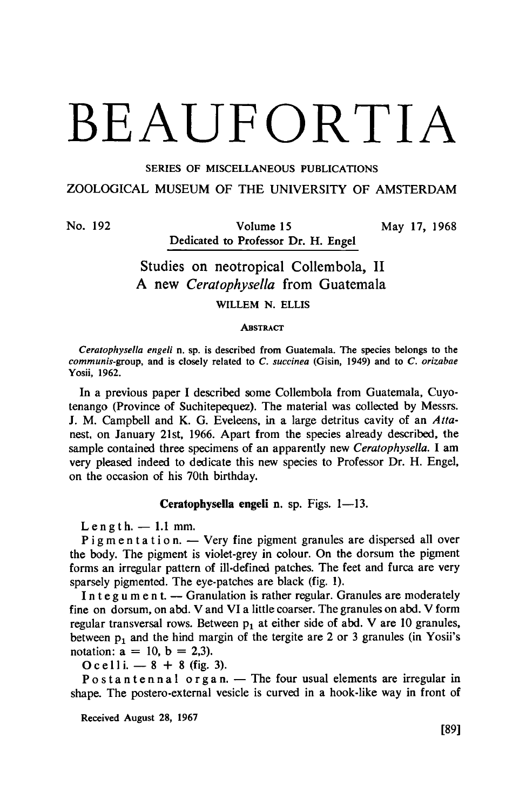# BEAUFORTIA

SERIES OF MISCELLANEOUS PUBLICATIONS

### ZOOLOGICAL MUSEUM OF THE UNIVERSITY OF AMSTERDAM

No. 192 Volume 15 May 17, 1968 Dedicated to Professor Dr. H. Engel

## Studies on neotropical Collembola, II. A new Ceratophysella from Guatemala

Willem N. Ellis

#### **ABSTRACT**

Ceratophysella engeli n. sp. is described from Guatemala. The species belongs to the communis-group, and is closely related to C. succinea (Gisin, 1949) and to C. orizabae Yosii, 1962.

In a previous paper I described some Collembola from Guatemala, Cuyotenango (Province of Suchitepequez). The material was collected by Messrs. J. M. Campbell and K. G. Eveleens, in <sup>a</sup> large detritus cavity of an Attanest, on January 21st, 1966. Apart from the species already described, the sample contained three specimens of an apparently new Ceratophysella. I am very pleased indeed to dedicate this new species to Professor Dr. H. Engel, on the occasion of his 70th birthday.

#### Ceratophysella engeli n. sp. Figs. 1—13.

 $Length. -1.1$  mm.

Pigmentation. — Very fine pigment granules are dispersed all over the body. The pigment is violet-grey in colour. On the dorsum the pigment forms an irregular pattern of ill-defined patches. The feet and furca are very sparsely pigmented. The eye-patches are black (fig. 1).

Integument. — Granulation is rather regular. Granules are moderately fine on dorsum, on abd. V and VI <sup>a</sup> little coarser. The granules on abd. V form regular transversal rows. Between  $p_1$  at either side of abd. V are 10 granules between  $p_1$  and the hind margin of the tergite are 2 or 3 granules (in Yosii's notation:  $a = 10$ ,  $b = 2,3$ ).

 $\alpha$  celli.  $-8 + 8$  (fig. 3).

Postantennal organ. — The four usual elements are irregular in shape. The postero-external vesicle is curved in <sup>a</sup> hook-like way in front of

Received August 28, 1967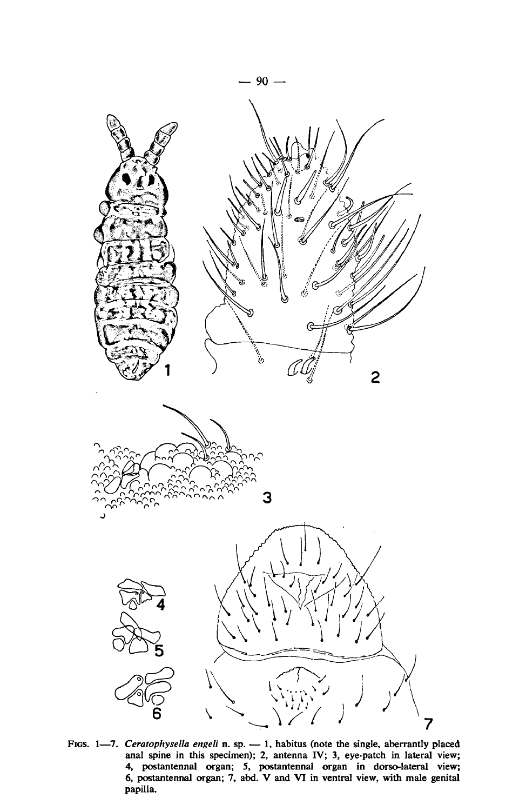

FIGS. 1—7. Ceratophysella engeli n. sp. — 1, habitus (note the single, aberrantly placed anal spine in this specimen); 2, antenna IV; 3, eye-patch in lateral view; 4, postantennal organ; 5, postantennal organ in dorso-lateral view; 6, postantennal organ; 7, abd. V and VI in ventral view, with male genital papilla.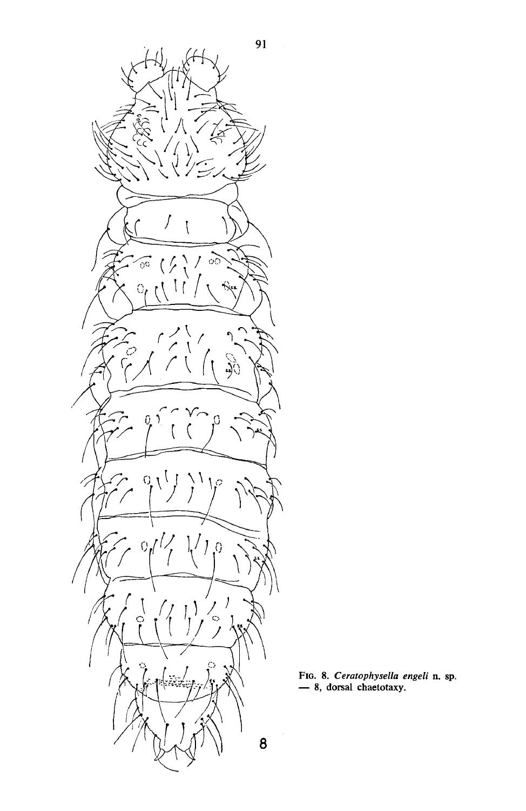

F1G. 8. *Ceratophysella engeli* n. sp.<br>— 8. dorsal chaetotaxy.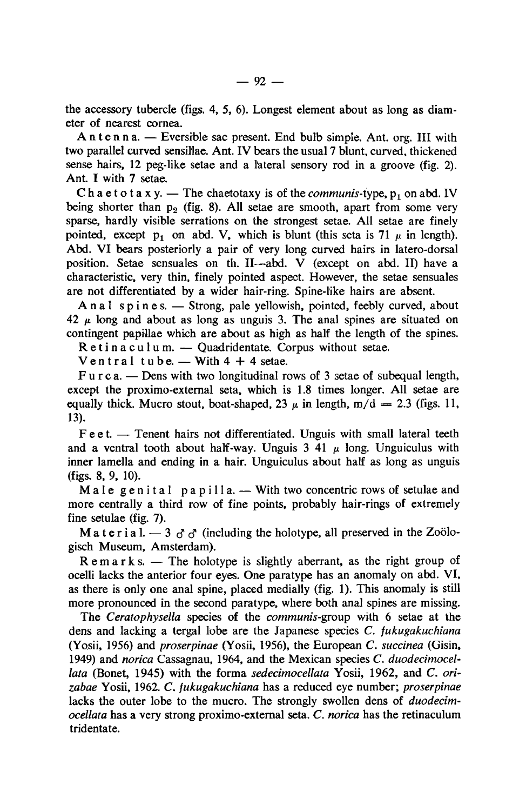the accessory tubercle (figs. 4, 5, 6). Longest element about as long as diameter of nearest cornea.

Antenna. — Eversible sac present. End bulb simple. Ant. org. Ill with two parallel curved sensillae. Ant. IV bears the usual7 blunt, curved, thickened sense hairs, <sup>12</sup> peg-like setae and <sup>a</sup> lateral sensory rod in <sup>a</sup> groove (fig. 2). Ant. I with <sup>7</sup> setae.

Chaetotaxy. — The chaetotaxy is of the *communis*-type,  $p_1$  on abd. IV being shorter than  $p_2$  (fig. 8). All setae are smooth, apart from some very sparse, hardly visible serrations on the strongest setae. All setae are finely pointed, except  $p_1$  on abd. V, which is blunt (this seta is 71  $\mu$  in length). Abd. VI bears posteriorly <sup>a</sup> pair of very long curved hairs in latero-dorsal position. Setae sensuales on th. II—abd. V (except on abd. II) have <sup>a</sup> characteristic, very thin, finely pointed aspect. However, the setae sensuales are not differentiated by a wider hair-ring. Spine-like hairs are absent.

Anal spines. — Strong, pale yellowish, pointed, feebly curved, about  $42 \mu$  long and about as long as unguis 3. The anal spines are situated on contingent papillae which are about as high as half the length of the spines.

Retinaculum. — Quadridentate. Corpus without setae.

 $\frac{1}{2}$  Nentral tube.  $\frac{1}{2}$  With 4 + 4 setae.

F u <sup>r</sup> <sup>c</sup> a. — Dens with two longitudinal rows of <sup>3</sup> setae of subequal length, except the proximo-external seta, which is 1.8 times longer. All setae are equally thick. Mucro stout, boat-shaped, 23  $\mu$  in length, m/d = 2.3 (figs. 11, 13).

Feet. — Tenent hairs not differentiated. Unguis with small lateral teeth and a ventral tooth about half-way. Unguis  $3\,41\,\mu$  long. Unguiculus with inner lamella and ending in a hair. Unguiculus about half as long as unguis (figs. 8, 9, 10).

Male genital papilla. — With two concentric rows of setulae and more centrally a third row of fine points, probably hair-rings of extremely fine setulae (fig. 7).

M a t e r i a l.  $-3$   $\sigma$   $\sigma$  (including the holotype, all preserved in the Zoolo gisch Museum, Amsterdam).

Remarks. — The holotype is slightly aberrant, as the right group of ocelli lacks the anterior four eyes. One paratype has an anomaly on abd. VI, as there is only one anal spine, placed medially (fig. 1). This anomaly is still more pronounced in the second paratype, where both anal spines are missing.

The Ceratophysella species of the communis-group with 6 setae at the dens and lacking <sup>a</sup> tergal lobe are the Japanese species C. fukugakuchiana (Yosii, 1956) and proserpinae (Yosii, 1956), the European C. succinea (Gisin, 1949) and norica Cassagnau, 1964, and the Mexican species C. duodecimocellata (Bonet, 1945) with the forma sedecimocellata Yosii, 1962, and C. orizabae Yosii, 1962. C. fukugakuchiana has <sup>a</sup> reduced eye number; proserpinae lacks the outer lobe to the mucro. The strongly swollen dens of duodecimocellata has <sup>a</sup> very strong proximo-external seta. C. norica has the retinaculum tridentate.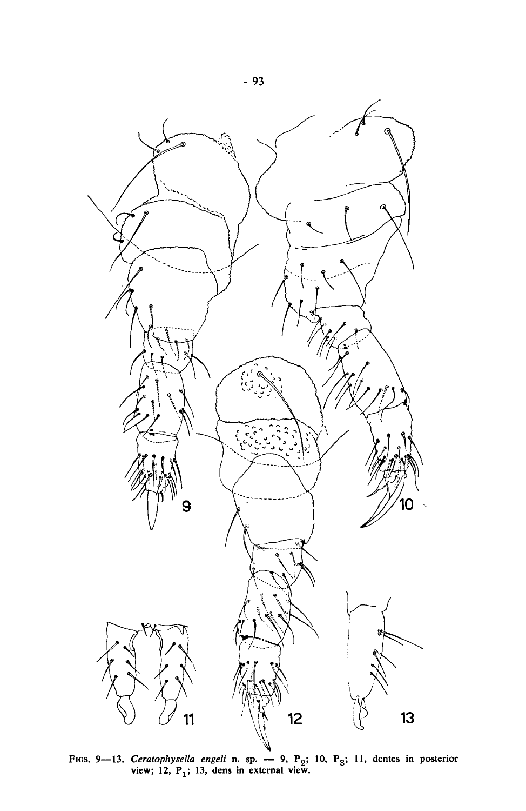

FIGS. 9—13. Ceratophysella engeli n. sp. — 9, P<sub>2</sub>; 10, P<sub>3</sub>; 11, dentes in posterior view; 12, P<sub>1</sub>; 13, dens in external view.